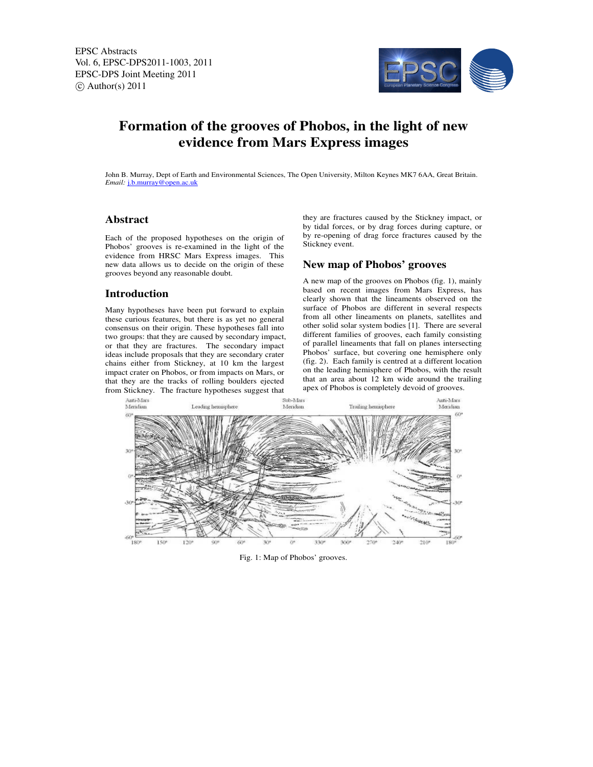EPSC Abstracts Vol. 6, EPSC-DPS2011-1003, 2011 EPSC-DPS Joint Meeting 2011  $\circ$  Author(s) 2011



# **Formation of the grooves of Phobos, in the light of new evidence from Mars Express images**

John B. Murray, Dept of Earth and Environmental Sciences, The Open University, Milton Keynes MK7 6AA, Great Britain. *Email:* j.b.murray@open.ac.uk

### **Abstract**

Each of the proposed hypotheses on the origin of Phobos' grooves is re-examined in the light of the evidence from HRSC Mars Express images. This new data allows us to decide on the origin of these grooves beyond any reasonable doubt.

#### **Introduction**

Many hypotheses have been put forward to explain these curious features, but there is as yet no general consensus on their origin. These hypotheses fall into two groups: that they are caused by secondary impact, or that they are fractures. The secondary impact ideas include proposals that they are secondary crater chains either from Stickney, at 10 km the largest impact crater on Phobos, or from impacts on Mars, or that they are the tracks of rolling boulders ejected from Stickney. The fracture hypotheses suggest that

they are fractures caused by the Stickney impact, or by tidal forces, or by drag forces during capture, or by re-opening of drag force fractures caused by the Stickney event.

#### **New map of Phobos' grooves**

A new map of the grooves on Phobos (fig. 1), mainly based on recent images from Mars Express, has clearly shown that the lineaments observed on the surface of Phobos are different in several respects from all other lineaments on planets, satellites and other solid solar system bodies [1]. There are several different families of grooves, each family consisting of parallel lineaments that fall on planes intersecting Phobos' surface, but covering one hemisphere only (fig. 2). Each family is centred at a different location on the leading hemisphere of Phobos, with the result that an area about 12 km wide around the trailing apex of Phobos is completely devoid of grooves.



Fig. 1: Map of Phobos' grooves.